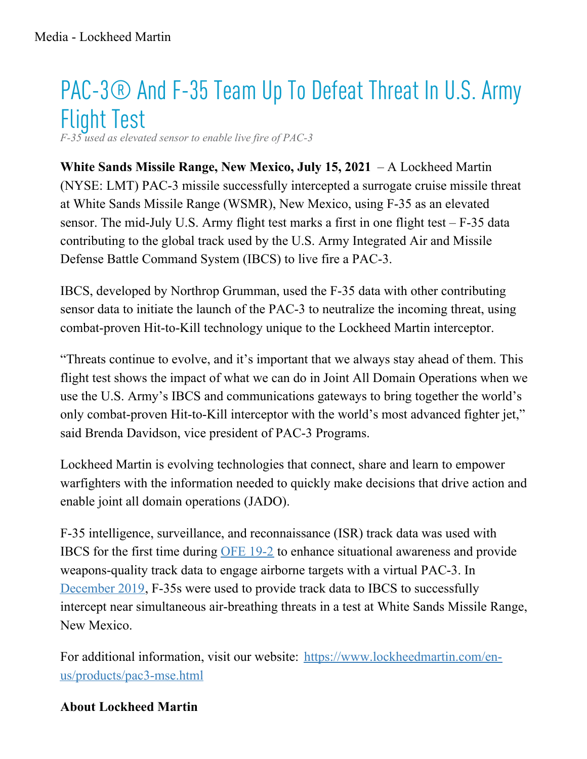## PAC-3® And F-35 Team Up To Defeat Threat In U.S. Army Flight Test

*F-35 used as elevated sensor to enable live fire of PAC-3*

**White Sands Missile Range, New Mexico, July 15, 2021** – A Lockheed Martin (NYSE: LMT) PAC-3 missile successfully intercepted a surrogate cruise missile threat at White Sands Missile Range (WSMR), New Mexico, using F-35 as an elevated sensor. The mid-July U.S. Army flight test marks a first in one flight test  $- F-35$  data contributing to the global track used by the U.S. Army Integrated Air and Missile Defense Battle Command System (IBCS) to live fire a PAC-3.

IBCS, developed by Northrop Grumman, used the F-35 data with other contributing sensor data to initiate the launch of the PAC-3 to neutralize the incoming threat, using combat-proven Hit-to-Kill technology unique to the Lockheed Martin interceptor.

"Threats continue to evolve, and it's important that we always stay ahead of them. This flight test shows the impact of what we can do in Joint All Domain Operations when we use the U.S. Army's IBCS and communications gateways to bring together the world's only combat-proven Hit-to-Kill interceptor with the world's most advanced fighter jet," said Brenda Davidson, vice president of PAC-3 Programs.

Lockheed Martin is evolving technologies that connect, share and learn to empower warfighters with the information needed to quickly make decisions that drive action and enable joint all domain operations (JADO).

F-35 intelligence, surveillance, and reconnaissance (ISR) track data was used with IBCS for the first time during [OFE](https://news.lockheedmartin.com/2019-8-06-Orange-Flag-Evaluation-Demonstrates-F-35-and-Army-IAMD-Integration) 19-2 to enhance situational awareness and provide weapons-quality track data to engage airborne targets with a virtual PAC-3. In [December](https://news.lockheedmartin.com/2020-01-21-U-S-Army-and-Air-Force-Team-up-for-Multi-Domain-Operations) 2019, F-35s were used to provide track data to IBCS to successfully intercept near simultaneous air-breathing threats in a test at White Sands Missile Range, New Mexico.

For additional information, visit our website: [https://www.lockheedmartin.com/en](https://www.lockheedmartin.com/en-us/products/pac3-mse.html)us/products/pac3-mse.html

## **About Lockheed Martin**